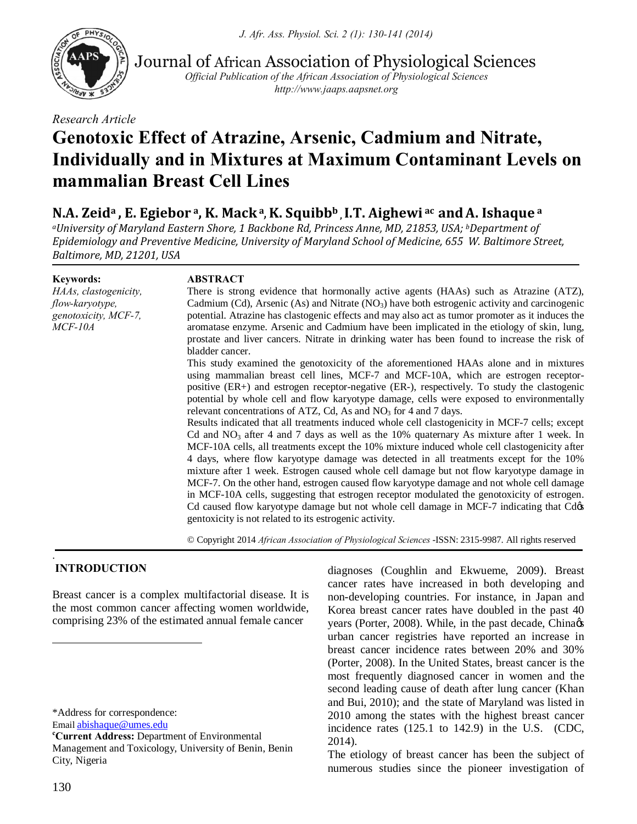*J. Afr. Ass. Physiol. Sci. 2 (1): 130-141 (2014)*



Journal of African Association of Physiological Sciences

*Official Publication of the African Association of Physiological Sciences http://www.jaaps.aapsnet.org*

*Research Article*

# **Genotoxic Effect of Atrazine, Arsenic, Cadmium and Nitrate, Individually and in Mixtures at Maximum Contaminant Levels on mammalian Breast Cell Lines**

## **N.A. Zeida , E. Egiebor a, K. Macka**,**K. Squibbb , I.T. Aighewi ac andA. Ishaque <sup>a</sup>**

*aUniversity of Maryland Eastern Shore, 1 Backbone Rd, Princess Anne, MD, 21853, USA; bDepartment of Epidemiology and Preventive Medicine, University of Maryland School of Medicine, 655 W. Baltimore Street, Baltimore, MD, 21201, USA*

**Keywords:**

*HAAs, clastogenicity, flow-karyotype, genotoxicity, MCF-7, MCF-10A*

## **ABSTRACT**

There is strong evidence that hormonally active agents (HAAs) such as Atrazine (ATZ), Cadmium (Cd), Arsenic (As) and Nitrate  $(NO<sub>3</sub>)$  have both estrogenic activity and carcinogenic potential. Atrazine has clastogenic effects and may also act as tumor promoter as it induces the aromatase enzyme. Arsenic and Cadmium have been implicated in the etiology of skin, lung, prostate and liver cancers. Nitrate in drinking water has been found to increase the risk of bladder cancer.

This study examined the genotoxicity of the aforementioned HAAs alone and in mixtures using mammalian breast cell lines, MCF-7 and MCF-10A, which are estrogen receptorpositive (ER+) and estrogen receptor-negative (ER-), respectively. To study the clastogenic potential by whole cell and flow karyotype damage, cells were exposed to environmentally relevant concentrations of ATZ, Cd, As and  $NO<sub>3</sub>$  for 4 and 7 days.

Results indicated that all treatments induced whole cell clastogenicity in MCF-7 cells; except Cd and  $NO<sub>3</sub>$  after 4 and 7 days as well as the 10% quaternary As mixture after 1 week. In MCF-10A cells, all treatments except the 10% mixture induced whole cell clastogenicity after 4 days, where flow karyotype damage was detected in all treatments except for the 10% mixture after 1 week. Estrogen caused whole cell damage but not flow karyotype damage in MCF-7. On the other hand, estrogen caused flow karyotype damage and not whole cell damage in MCF-10A cells, suggesting that estrogen receptor modulated the genotoxicity of estrogen. Cd caused flow karyotype damage but not whole cell damage in MCF-7 indicating that Cdos gentoxicity is not related to its estrogenic activity.

© Copyright 2014 *African Association of Physiological Sciences* -ISSN: 2315-9987. All rights reserved

#### . **INTRODUCTION**

Breast cancer is a complex multifactorial disease. It is the most common cancer affecting women worldwide, comprising 23% of the estimated annual female cancer

\*Address for correspondence:

Email abishaque@umes.edu **<sup>c</sup>**

**Current Address:** Department of Environmental Management and Toxicology, University of Benin, Benin City, Nigeria

diagnoses (Coughlin and Ekwueme, 2009). Breast cancer rates have increased in both developing and non-developing countries. For instance, in Japan and Korea breast cancer rates have doubled in the past 40 years (Porter, 2008). While, in the past decade, China $\alpha$ urban cancer registries have reported an increase in breast cancer incidence rates between 20% and 30% (Porter, 2008). In the United States, breast cancer is the most frequently diagnosed cancer in women and the second leading cause of death after lung cancer (Khan and Bui, 2010); and the state of Maryland was listed in 2010 among the states with the highest breast cancer incidence rates (125.1 to 142.9) in the U.S. (CDC, 2014).

The etiology of breast cancer has been the subject of numerous studies since the pioneer investigation of

 $\overline{a}$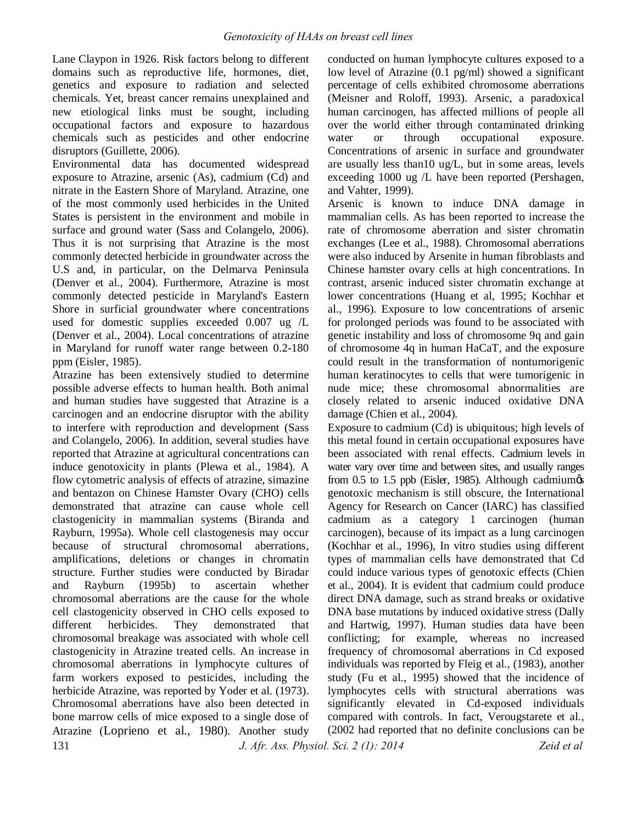Lane Claypon in 1926. Risk factors belong to different domains such as reproductive life, hormones, diet, genetics and exposure to radiation and selected chemicals. Yet, breast cancer remains unexplained and new etiological links must be sought, including occupational factors and exposure to hazardous chemicals such as pesticides and other endocrine disruptors (Guillette, 2006).

Environmental data has documented widespread exposure to Atrazine, arsenic (As), cadmium (Cd) and nitrate in the Eastern Shore of Maryland. Atrazine, one of the most commonly used herbicides in the United States is persistent in the environment and mobile in surface and ground water (Sass and Colangelo, 2006). Thus it is not surprising that Atrazine is the most commonly detected herbicide in groundwater across the U.S and, in particular, on the Delmarva Peninsula (Denver et al., 2004). Furthermore, Atrazine is most commonly detected pesticide in Maryland's Eastern Shore in surficial groundwater where concentrations used for domestic supplies exceeded 0.007 ug /L (Denver et al., 2004). Local concentrations of atrazine in Maryland for runoff water range between 0.2-180 ppm (Eisler, 1985).

131 *J. Afr. Ass. Physiol. Sci. 2 (1): 2014 Zeid et al* Atrazine has been extensively studied to determine possible adverse effects to human health. Both animal and human studies have suggested that Atrazine is a carcinogen and an endocrine disruptor with the ability to interfere with reproduction and development (Sass and Colangelo, 2006). In addition, several studies have reported that Atrazine at agricultural concentrations can induce genotoxicity in plants (Plewa et al., 1984). A flow cytometric analysis of effects of atrazine, simazine and bentazon on Chinese Hamster Ovary (CHO) cells demonstrated that atrazine can cause whole cell clastogenicity in mammalian systems (Biranda and Rayburn, 1995a). Whole cell clastogenesis may occur because of structural chromosomal aberrations, amplifications, deletions or changes in chromatin structure. Further studies were conducted by Biradar and Rayburn (1995b) to ascertain whether chromosomal aberrations are the cause for the whole cell clastogenicity observed in CHO cells exposed to different herbicides. They demonstrated that chromosomal breakage was associated with whole cell clastogenicity in Atrazine treated cells. An increase in chromosomal aberrations in lymphocyte cultures of farm workers exposed to pesticides, including the herbicide Atrazine, was reported by Yoder et al. (1973). Chromosomal aberrations have also been detected in bone marrow cells of mice exposed to a single dose of Atrazine (Loprieno et al., 1980). Another study

conducted on human lymphocyte cultures exposed to a low level of Atrazine (0.1 pg/ml) showed a significant percentage of cells exhibited chromosome aberrations (Meisner and Roloff, 1993). Arsenic, a paradoxical human carcinogen, has affected millions of people all over the world either through contaminated drinking water or through occupational exposure. Concentrations of arsenic in surface and groundwater are usually less than10 ug/L, but in some areas, levels exceeding 1000 ug /L have been reported (Pershagen, and Vahter, 1999).

Arsenic is known to induce DNA damage in mammalian cells. As has been reported to increase the rate of chromosome aberration and sister chromatin exchanges (Lee et al., 1988). Chromosomal aberrations were also induced by Arsenite in human fibroblasts and Chinese hamster ovary cells at high concentrations. In contrast, arsenic induced sister chromatin exchange at lower concentrations (Huang et al, 1995; Kochhar et al., 1996). Exposure to low concentrations of arsenic for prolonged periods was found to be associated with genetic instability and loss of chromosome 9q and gain of chromosome 4q in human HaCaT, and the exposure could result in the transformation of nontumorigenic human keratinocytes to cells that were tumorigenic in nude mice; these chromosomal abnormalities are closely related to arsenic induced oxidative DNA damage (Chien et al., 2004).

Exposure to cadmium (Cd) is ubiquitous; high levels of this metal found in certain occupational exposures have been associated with renal effects. Cadmium levels in water vary over time and between sites, and usually ranges from 0.5 to 1.5 ppb (Eisler, 1985). Although cadmiumos genotoxic mechanism is still obscure, the International Agency for Research on Cancer (IARC) has classified cadmium as a category 1 carcinogen (human carcinogen), because of its impact as a lung carcinogen (Kochhar et al., 1996), In vitro studies using different types of mammalian cells have demonstrated that Cd could induce various types of genotoxic effects (Chien et al., 2004). It is evident that cadmium could produce direct DNA damage, such as strand breaks or oxidative DNA base mutations by induced oxidative stress (Dally and Hartwig, 1997). Human studies data have been conflicting; for example, whereas no increased frequency of chromosomal aberrations in Cd exposed individuals was reported by Fleig et al., (1983), another study (Fu et al., 1995) showed that the incidence of lymphocytes cells with structural aberrations was significantly elevated in Cd-exposed individuals compared with controls. In fact, Verougstarete et al., (2002 had reported that no definite conclusions can be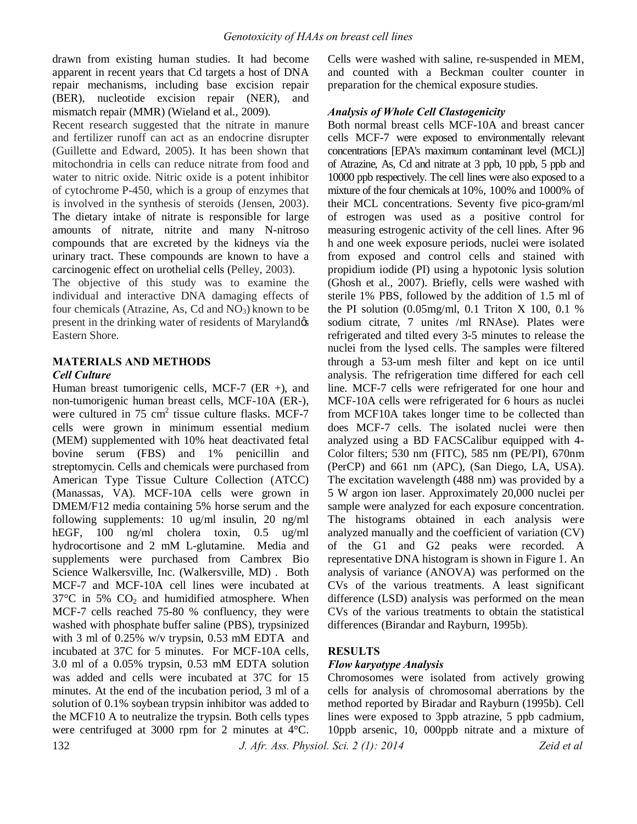drawn from existing human studies. It had become apparent in recent years that Cd targets a host of DNA repair mechanisms, including base excision repair (BER), nucleotide excision repair (NER), and mismatch repair (MMR) (Wieland et al., 2009).

Recent research suggested that the nitrate in manure and fertilizer runoff can act as an endocrine disrupter (Guillette and Edward, 2005). It has been shown that mitochondria in cells can reduce nitrate from food and water to nitric oxide. Nitric oxide is a potent inhibitor of cytochrome P-450, which is a group of enzymes that is involved in the synthesis of steroids (Jensen, 2003). The dietary intake of nitrate is responsible for large amounts of nitrate, nitrite and many N-nitroso compounds that are excreted by the kidneys via the urinary tract. These compounds are known to have a carcinogenic effect on urothelial cells (Pelley, 2003).

The objective of this study was to examine the individual and interactive DNA damaging effects of four chemicals (Atrazine, As, Cd and  $NO<sub>3</sub>$ ) known to be present in the drinking water of residents of Maryland Eastern Shore.

## **MATERIALS AND METHODS** *Cell Culture*

Human breast tumorigenic cells, MCF-7 (ER +), and non-tumorigenic human breast cells, MCF-10A (ER-), were cultured in  $75 \text{ cm}^2$  tissue culture flasks. MCF-7 cells were grown in minimum essential medium (MEM) supplemented with 10% heat deactivated fetal bovine serum (FBS) and 1% penicillin and streptomycin. Cells and chemicals were purchased from American Type Tissue Culture Collection (ATCC) (Manassas, VA). MCF-10A cells were grown in DMEM/F12 media containing 5% horse serum and the following supplements: 10 ug/ml insulin, 20 ng/ml hEGF, 100 ng/ml cholera toxin, 0.5 ug/ml hydrocortisone and 2 mM L-glutamine. Media and supplements were purchased from Cambrex Bio Science Walkersville, Inc. (Walkersville, MD) . Both MCF-7 and MCF-10A cell lines were incubated at  $37^{\circ}$ C in 5%  $CO<sub>2</sub>$  and humidified atmosphere. When MCF-7 cells reached 75-80 % confluency, they were washed with phosphate buffer saline (PBS), trypsinized with 3 ml of 0.25% w/v trypsin, 0.53 mM EDTA and incubated at 37C for 5 minutes. For MCF-10A cells, 3.0 ml of a 0.05% trypsin, 0.53 mM EDTA solution was added and cells were incubated at 37C for 15 minutes. At the end of the incubation period, 3 ml of a solution of 0.1% soybean trypsin inhibitor was added to the MCF10 A to neutralize the trypsin. Both cells types were centrifuged at 3000 rpm for 2 minutes at 4°C.

Cells were washed with saline, re-suspended in MEM, and counted with a Beckman coulter counter in preparation for the chemical exposure studies.

## *Analysis of Whole Cell Clastogenicity*

Both normal breast cells MCF-10A and breast cancer cells MCF-7 were exposed to environmentally relevant concentrations [EPA's maximum contaminant level (MCL)] of Atrazine, As, Cd and nitrate at 3 ppb, 10 ppb, 5 ppb and 10000 ppb respectively. The cell lines were also exposed to a mixture of the four chemicals at 10%, 100% and 1000% of their MCL concentrations. Seventy five pico-gram/ml of estrogen was used as a positive control for measuring estrogenic activity of the cell lines. After 96 h and one week exposure periods, nuclei were isolated from exposed and control cells and stained with propidium iodide (PI) using a hypotonic lysis solution (Ghosh et al., 2007). Briefly, cells were washed with sterile 1% PBS, followed by the addition of 1.5 ml of the PI solution (0.05mg/ml, 0.1 Triton X 100, 0.1 % sodium citrate, 7 unites /ml RNAse). Plates were refrigerated and tilted every 3-5 minutes to release the nuclei from the lysed cells. The samples were filtered through a 53-um mesh filter and kept on ice until analysis. The refrigeration time differed for each cell line. MCF-7 cells were refrigerated for one hour and MCF-10A cells were refrigerated for 6 hours as nuclei from MCF10A takes longer time to be collected than does MCF-7 cells. The isolated nuclei were then analyzed using a BD FACSCalibur equipped with 4- Color filters; 530 nm (FITC), 585 nm (PE/PI), 670nm (PerCP) and 661 nm (APC), (San Diego, LA, USA). The excitation wavelength (488 nm) was provided by a 5 W argon ion laser. Approximately 20,000 nuclei per sample were analyzed for each exposure concentration. The histograms obtained in each analysis were analyzed manually and the coefficient of variation (CV) of the G1 and G2 peaks were recorded. A representative DNA histogram is shown in Figure 1. An analysis of variance (ANOVA) was performed on the CVs of the various treatments. A least significant difference (LSD) analysis was performed on the mean CVs of the various treatments to obtain the statistical differences (Birandar and Rayburn, 1995b).

## **RESULTS**

## *Flow karyotype Analysis*

Chromosomes were isolated from actively growing cells for analysis of chromosomal aberrations by the method reported by Biradar and Rayburn (1995b). Cell lines were exposed to 3ppb atrazine, 5 ppb cadmium, 10ppb arsenic, 10, 000ppb nitrate and a mixture of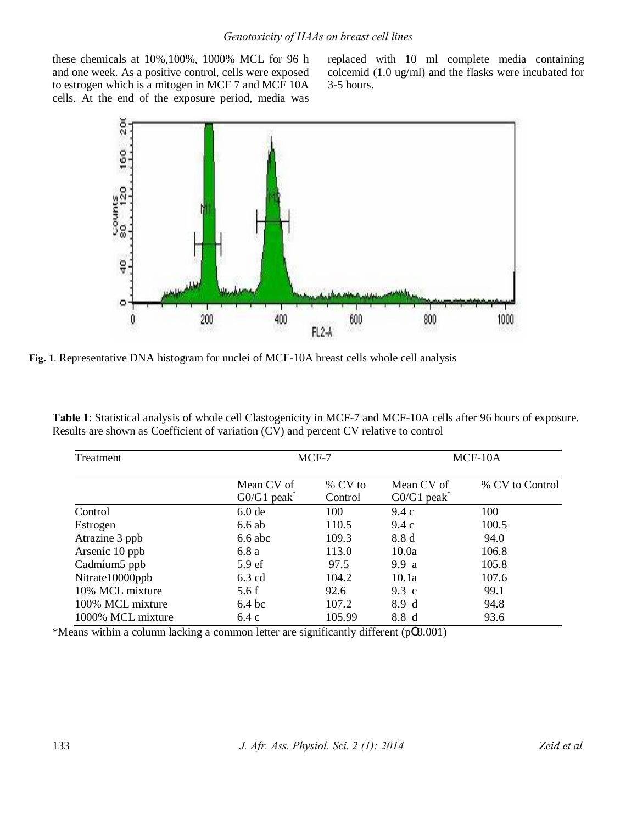these chemicals at 10%,100%, 1000% MCL for 96 h and one week. As a positive control, cells were exposed to estrogen which is a mitogen in MCF 7 and MCF 10A cells. At the end of the exposure period, media was

replaced with 10 ml complete media containing colcemid (1.0 ug/ml) and the flasks were incubated for 3-5 hours.



**Fig. 1**. Representative DNA histogram for nuclei of MCF-10A breast cells whole cell analysis

| Table 1: Statistical analysis of whole cell Clastogenicity in MCF-7 and MCF-10A cells after 96 hours of exposure. |
|-------------------------------------------------------------------------------------------------------------------|
| Results are shown as Coefficient of variation (CV) and percent CV relative to control                             |

| Treatment                |                                         | MCF-7              |                                         | MCF-10A         |  |
|--------------------------|-----------------------------------------|--------------------|-----------------------------------------|-----------------|--|
|                          | Mean CV of<br>$G0/G1$ peak <sup>*</sup> | % CV to<br>Control | Mean CV of<br>$G0/G1$ peak <sup>*</sup> | % CV to Control |  |
| Control                  | 6.0 <sub>de</sub>                       | 100                | 9.4c                                    | 100             |  |
| Estrogen                 | 6.6ab                                   | 110.5              | 9.4c                                    | 100.5           |  |
| Atrazine 3 ppb           | $6.6$ abc                               | 109.3              | 8.8 d                                   | 94.0            |  |
| Arsenic 10 ppb           | 6.8a                                    | 113.0              | 10.0a                                   | 106.8           |  |
| Cadmium <sub>5</sub> ppb | 5.9 <sub>ef</sub>                       | 97.5               | 9.9 a                                   | 105.8           |  |
| Nitrate10000ppb          | $6.3 \text{ cd}$                        | 104.2              | 10.1a                                   | 107.6           |  |
| 10% MCL mixture          | 5.6f                                    | 92.6               | 9.3 c                                   | 99.1            |  |
| 100% MCL mixture         | 6.4 <sub>bc</sub>                       | 107.2              | 8.9 d                                   | 94.8            |  |
| 1000% MCL mixture        | 6.4c                                    | 105.99             | 8.8 d<br>Marchand and                   | 93.6            |  |

\*Means within a column lacking a common letter are significantly different (pÖ0.001)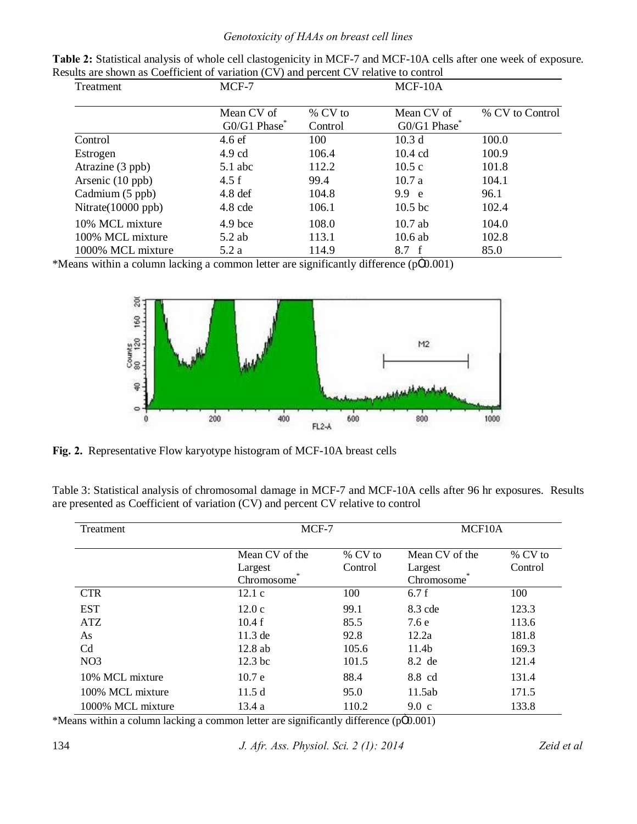## *Genotoxicity of HAAs on breast cell lines*

| Treatment             | MCF-7                                  |                      | MCF-10A                   |                 |
|-----------------------|----------------------------------------|----------------------|---------------------------|-----------------|
|                       | Mean CV of<br>G0/G1 Phase <sup>®</sup> | $%$ CV to<br>Control | Mean CV of<br>G0/G1 Phase | % CV to Control |
| Control               | 4.6ef                                  | 100                  | 10.3 <sub>d</sub>         | 100.0           |
| Estrogen              | $4.9 \text{ cd}$                       | 106.4                | 10.4 cd                   | 100.9           |
| Atrazine (3 ppb)      | $5.1$ abc                              | 112.2                | 10.5c                     | 101.8           |
| Arsenic (10 ppb)      | 4.5 f                                  | 99.4                 | 10.7a                     | 104.1           |
| Cadmium (5 ppb)       | $4.8$ def                              | 104.8                | 9.9 e                     | 96.1            |
| Nitrate $(10000$ ppb) | $4.8$ cde                              | 106.1                | 10.5 <sub>bc</sub>        | 102.4           |
| 10% MCL mixture       | $4.9$ bce                              | 108.0                | $10.7$ ab                 | 104.0           |
| 100% MCL mixture      | $5.2$ ab                               | 113.1                | $10.6$ ab                 | 102.8           |
| 1000% MCL mixture     | 5.2 a                                  | 114.9                | 8.7 f                     | 85.0            |

| Table 2: Statistical analysis of whole cell clastogenicity in MCF-7 and MCF-10A cells after one week of exposure. |
|-------------------------------------------------------------------------------------------------------------------|
| Results are shown as Coefficient of variation (CV) and percent CV relative to control                             |

\*Means within a column lacking a common letter are significantly difference (p $\ddot{O}0.001$ )



**Fig. 2.** Representative Flow karyotype histogram of MCF-10A breast cells

| Table 3: Statistical analysis of chromosomal damage in MCF-7 and MCF-10A cells after 96 hr exposures. Results |  |
|---------------------------------------------------------------------------------------------------------------|--|
| are presented as Coefficient of variation (CV) and percent CV relative to control                             |  |

| <b>Treatment</b>  | $MCF-7$                                 |                      | MCF <sub>10</sub> A                     |                      |  |
|-------------------|-----------------------------------------|----------------------|-----------------------------------------|----------------------|--|
|                   | Mean CV of the<br>Largest<br>Chromosome | $%$ CV to<br>Control | Mean CV of the<br>Largest<br>Chromosome | $%$ CV to<br>Control |  |
| <b>CTR</b>        | 12.1c                                   | 100                  | 6.7f                                    | 100                  |  |
| <b>EST</b>        | 12.0c                                   | 99.1                 | $8.3$ cde                               | 123.3                |  |
| <b>ATZ</b>        | 10.4f                                   | 85.5                 | 7.6 e                                   | 113.6                |  |
| As                | $11.3$ de                               | 92.8                 | 12.2a                                   | 181.8                |  |
| C <sub>d</sub>    | 12.8ab                                  | 105.6                | 11.4 <sub>b</sub>                       | 169.3                |  |
| NO <sub>3</sub>   | 12.3 <sub>bc</sub>                      | 101.5                | 8.2 de                                  | 121.4                |  |
| 10% MCL mixture   | 10.7 <sub>e</sub>                       | 88.4                 | 8.8 cd                                  | 131.4                |  |
| 100% MCL mixture  | 11.5d                                   | 95.0                 | 11.5ab                                  | 171.5                |  |
| 1000% MCL mixture | 13.4 a                                  | 110.2                | $9.0\text{ c}$                          | 133.8                |  |

\*Means within a column lacking a common letter are significantly difference (p $\ddot{O}0.001$ )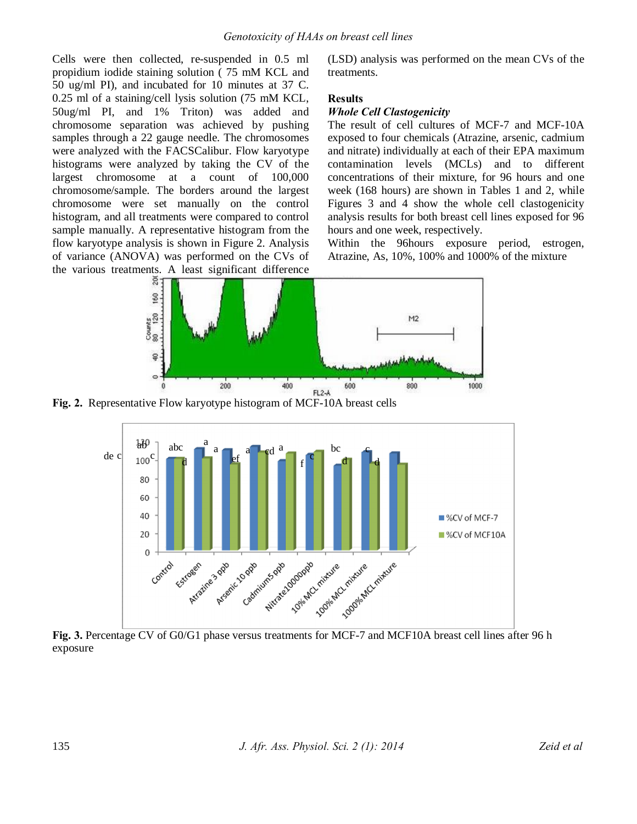Cells were then collected, re-suspended in 0.5 ml propidium iodide staining solution ( 75 mM KCL and 50 ug/ml PI), and incubated for 10 minutes at 37 C. 0.25 ml of a staining/cell lysis solution (75 mM KCL, 50ug/ml PI, and 1% Triton) was added and chromosome separation was achieved by pushing samples through a 22 gauge needle. The chromosomes were analyzed with the FACSCalibur. Flow karyotype histograms were analyzed by taking the CV of the largest chromosome at a count of 100,000 chromosome/sample. The borders around the largest chromosome were set manually on the control histogram, and all treatments were compared to control sample manually. A representative histogram from the flow karyotype analysis is shown in Figure 2. Analysis of variance (ANOVA) was performed on the CVs of the various treatments. A least significant difference

(LSD) analysis was performed on the mean CVs of the treatments.

## **Results**

## *Whole Cell Clastogenicity*

The result of cell cultures of MCF-7 and MCF-10A exposed to four chemicals (Atrazine, arsenic, cadmium and nitrate) individually at each of their EPA maximum contamination levels (MCLs) and to different concentrations of their mixture, for 96 hours and one week (168 hours) are shown in Tables 1 and 2, while Figures 3 and 4 show the whole cell clastogenicity analysis results for both breast cell lines exposed for 96 hours and one week, respectively.

Within the 96hours exposure period, estrogen, Atrazine, As, 10%, 100% and 1000% of the mixture



**Fig. 2.** Representative Flow karyotype histogram of MCF-10A breast cells



**Fig. 3.** Percentage CV of G0/G1 phase versus treatments for MCF-7 and MCF10A breast cell lines after 96 h exposure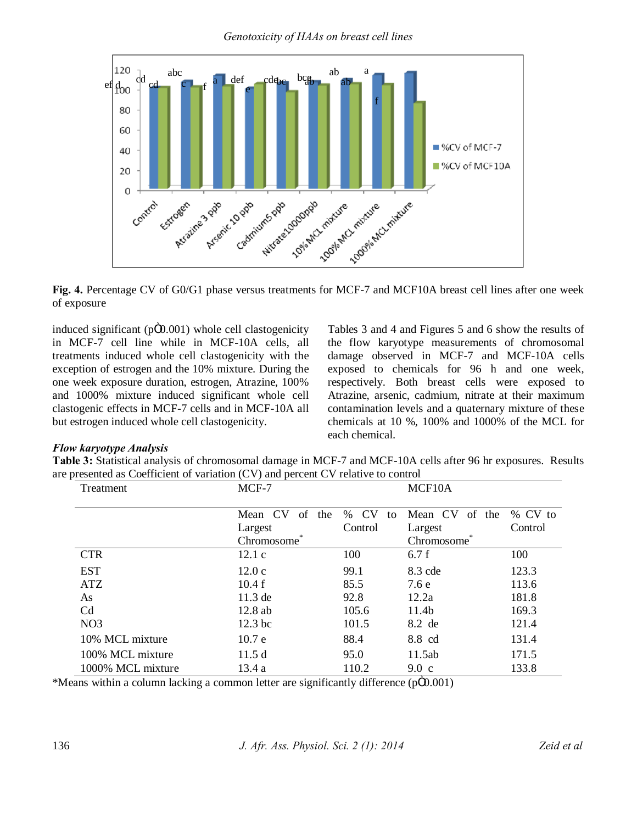

**Fig. 4.** Percentage CV of G0/G1 phase versus treatments for MCF-7 and MCF10A breast cell lines after one week of exposure

induced significant ( $p\ddot{\Omega}$ , 001) whole cell clastogenicity in MCF-7 cell line while in MCF-10A cells, all treatments induced whole cell clastogenicity with the exception of estrogen and the 10% mixture. During the one week exposure duration, estrogen, Atrazine, 100% and 1000% mixture induced significant whole cell clastogenic effects in MCF-7 cells and in MCF-10A all but estrogen induced whole cell clastogenicity.

Tables 3 and 4 and Figures 5 and 6 show the results of the flow karyotype measurements of chromosomal damage observed in MCF-7 and MCF-10A cells exposed to chemicals for 96 h and one week, respectively. Both breast cells were exposed to Atrazine, arsenic, cadmium, nitrate at their maximum contamination levels and a quaternary mixture of these chemicals at 10 %, 100% and 1000% of the MCL for each chemical.

## *Flow karyotype Analysis*

**Table 3:** Statistical analysis of chromosomal damage in MCF-7 and MCF-10A cells after 96 hr exposures. Results are presented as Coefficient of variation (CV) and percent CV relative to control

| Treatment         | MCF-7                |                         | MCF10A                  |         |
|-------------------|----------------------|-------------------------|-------------------------|---------|
|                   |                      |                         |                         |         |
|                   | Mean CV<br>of<br>the | <b>CV</b><br>$\%$<br>to | Mean CV<br>of<br>the    | % CV to |
|                   | Largest              | Control                 | Largest                 | Control |
|                   | Chromosome           |                         | Chromosome <sup>®</sup> |         |
| <b>CTR</b>        | 12.1c                | 100                     | 6.7f                    | 100     |
| <b>EST</b>        | 12.0c                | 99.1                    | 8.3 cde                 | 123.3   |
| ATZ               | 10.4f                | 85.5                    | 7.6e                    | 113.6   |
| As                | 11.3 de              | 92.8                    | 12.2a                   | 181.8   |
| Cd                | 12.8ab               | 105.6                   | 11.4b                   | 169.3   |
| NO <sub>3</sub>   | $12.3$ bc            | 101.5                   | 8.2 de                  | 121.4   |
| 10% MCL mixture   | 10.7 e               | 88.4                    | 8.8 cd                  | 131.4   |
| 100% MCL mixture  | 11.5d                | 95.0                    | 11.5ab                  | 171.5   |
| 1000% MCL mixture | 13.4 a               | 110.2                   | $9.0\,c$                | 133.8   |

\*Means within a column lacking a common letter are significantly difference  $(p\hat{O0.001})$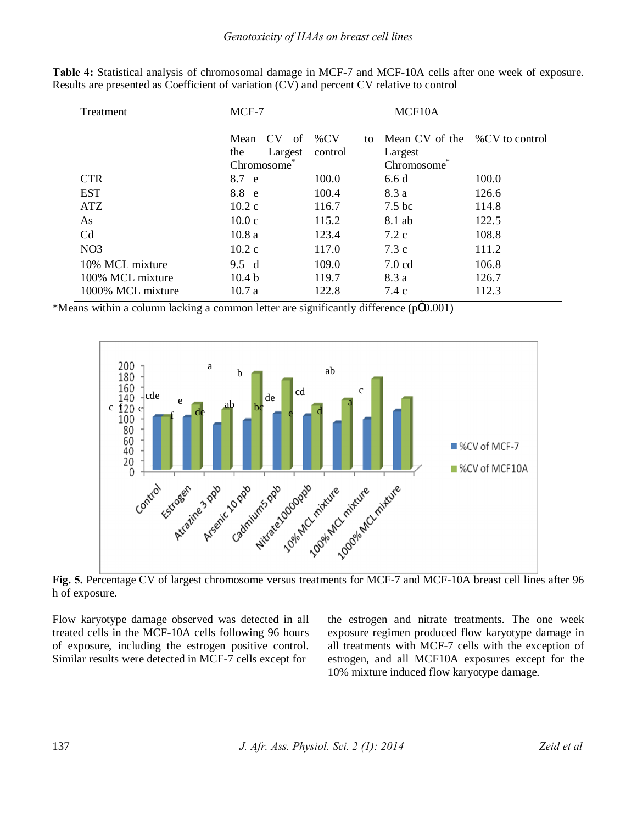| Treatment         | MCF-7              | MCF10A       |                   |                |
|-------------------|--------------------|--------------|-------------------|----------------|
|                   | CV<br>Mean<br>- of | $\%CV$<br>to | Mean CV of the    | %CV to control |
|                   | the<br>Largest     | control      | Largest           |                |
|                   | Chromosome         |              | Chromosome        |                |
| <b>CTR</b>        | 8.7 e              | 100.0        | 6.6d              | 100.0          |
| <b>EST</b>        | 8.8 e              | 100.4        | 8.3 a             | 126.6          |
| <b>ATZ</b>        | 10.2c              | 116.7        | 7.5 <sub>bc</sub> | 114.8          |
| As                | 10.0c              | 115.2        | 8.1 ab            | 122.5          |
| C <sub>d</sub>    | 10.8a              | 123.4        | $7.2\text{ c}$    | 108.8          |
| NO <sub>3</sub>   | 10.2c              | 117.0        | 7.3c              | 111.2          |
| 10% MCL mixture   | 9.5 d              | 109.0        | 7.0 cd            | 106.8          |
| 100% MCL mixture  | 10.4 <sub>b</sub>  | 119.7        | 8.3 a             | 126.7          |
| 1000% MCL mixture | 10.7a              | 122.8        | 7.4 c             | 112.3          |

**Table 4:** Statistical analysis of chromosomal damage in MCF-7 and MCF-10A cells after one week of exposure. Results are presented as Coefficient of variation (CV) and percent CV relative to control

\*Means within a column lacking a common letter are significantly difference  $(p\ddot{\Omega}0.001)$ 



**Fig. 5.** Percentage CV of largest chromosome versus treatments for MCF-7 and MCF-10A breast cell lines after 96 h of exposure.

Flow karyotype damage observed was detected in all treated cells in the MCF-10A cells following 96 hours of exposure, including the estrogen positive control. Similar results were detected in MCF-7 cells except for

the estrogen and nitrate treatments. The one week exposure regimen produced flow karyotype damage in all treatments with MCF-7 cells with the exception of estrogen, and all MCF10A exposures except for the 10% mixture induced flow karyotype damage.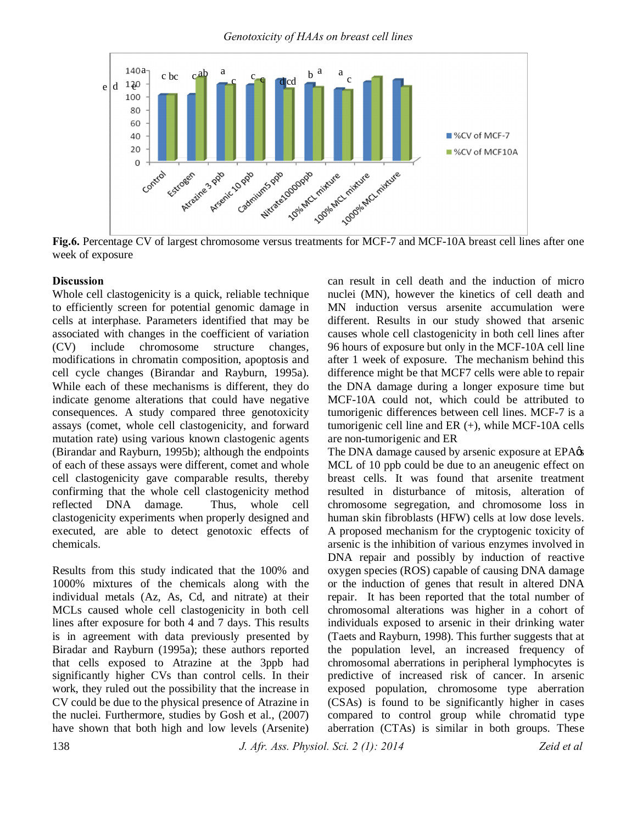

**Fig.6.** Percentage CV of largest chromosome versus treatments for MCF-7 and MCF-10A breast cell lines after one week of exposure

## **Discussion**

Whole cell clastogenicity is a quick, reliable technique to efficiently screen for potential genomic damage in cells at interphase. Parameters identified that may be associated with changes in the coefficient of variation (CV) include chromosome structure changes, modifications in chromatin composition, apoptosis and cell cycle changes (Birandar and Rayburn, 1995a). While each of these mechanisms is different, they do indicate genome alterations that could have negative consequences. A study compared three genotoxicity assays (comet, whole cell clastogenicity, and forward mutation rate) using various known clastogenic agents (Birandar and Rayburn, 1995b); although the endpoints of each of these assays were different, comet and whole cell clastogenicity gave comparable results, thereby confirming that the whole cell clastogenicity method reflected DNA damage. Thus, whole cell clastogenicity experiments when properly designed and executed, are able to detect genotoxic effects of chemicals.

Results from this study indicated that the 100% and 1000% mixtures of the chemicals along with the individual metals (Az, As, Cd, and nitrate) at their MCLs caused whole cell clastogenicity in both cell lines after exposure for both 4 and 7 days. This results is in agreement with data previously presented by Biradar and Rayburn (1995a); these authors reported that cells exposed to Atrazine at the 3ppb had significantly higher CVs than control cells. In their work, they ruled out the possibility that the increase in CV could be due to the physical presence of Atrazine in the nuclei. Furthermore, studies by Gosh et al., (2007) have shown that both high and low levels (Arsenite) can result in cell death and the induction of micro nuclei (MN), however the kinetics of cell death and MN induction versus arsenite accumulation were different. Results in our study showed that arsenic causes whole cell clastogenicity in both cell lines after 96 hours of exposure but only in the MCF-10A cell line after 1 week of exposure. The mechanism behind this difference might be that MCF7 cells were able to repair the DNA damage during a longer exposure time but MCF-10A could not, which could be attributed to tumorigenic differences between cell lines. MCF-7 is a tumorigenic cell line and ER (+), while MCF-10A cells are non-tumorigenic and ER

The DNA damage caused by arsenic exposure at EPA $\alpha$ MCL of 10 ppb could be due to an aneugenic effect on breast cells. It was found that arsenite treatment resulted in disturbance of mitosis, alteration of chromosome segregation, and chromosome loss in human skin fibroblasts (HFW) cells at low dose levels. A proposed mechanism for the cryptogenic toxicity of arsenic is the inhibition of various enzymes involved in DNA repair and possibly by induction of reactive oxygen species (ROS) capable of causing DNA damage or the induction of genes that result in altered DNA repair. It has been reported that the total number of chromosomal alterations was higher in a cohort of individuals exposed to arsenic in their drinking water (Taets and Rayburn, 1998). This further suggests that at the population level, an increased frequency of chromosomal aberrations in peripheral lymphocytes is predictive of increased risk of cancer. In arsenic exposed population, chromosome type aberration (CSAs) is found to be significantly higher in cases compared to control group while chromatid type aberration (CTAs) is similar in both groups. These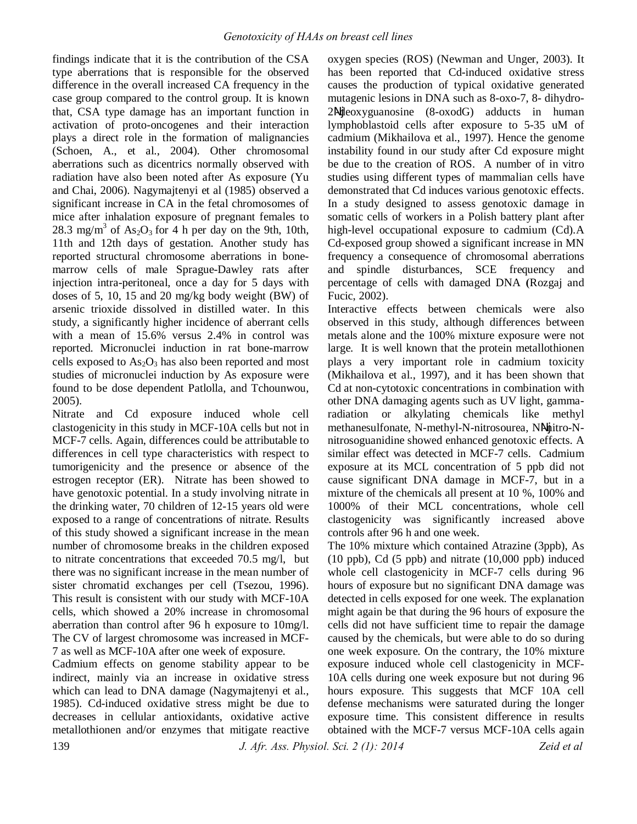findings indicate that it is the contribution of the CSA type aberrations that is responsible for the observed difference in the overall increased CA frequency in the case group compared to the control group. It is known that, CSA type damage has an important function in activation of proto-oncogenes and their interaction plays a direct role in the formation of malignancies (Schoen, A., et al., 2004). Other chromosomal aberrations such as dicentrics normally observed with radiation have also been noted after As exposure (Yu and Chai, 2006). Nagymajtenyi et al (1985) observed a significant increase in CA in the fetal chromosomes of mice after inhalation exposure of pregnant females to 28.3 mg/m<sup>3</sup> of As<sub>2</sub>O<sub>3</sub> for 4 h per day on the 9th, 10th, 11th and 12th days of gestation. Another study has reported structural chromosome aberrations in bonemarrow cells of male Sprague-Dawley rats after injection intra-peritoneal, once a day for 5 days with doses of 5, 10, 15 and 20 mg/kg body weight (BW) of arsenic trioxide dissolved in distilled water. In this study, a significantly higher incidence of aberrant cells with a mean of 15.6% versus 2.4% in control was reported. Micronuclei induction in rat bone-marrow cells exposed to  $As<sub>2</sub>O<sub>3</sub>$  has also been reported and most studies of micronuclei induction by As exposure were found to be dose dependent Patlolla, and Tchounwou, 2005).

Nitrate and Cd exposure induced whole cell clastogenicity in this study in MCF-10A cells but not in MCF-7 cells. Again, differences could be attributable to differences in cell type characteristics with respect to tumorigenicity and the presence or absence of the estrogen receptor (ER). Nitrate has been showed to have genotoxic potential. In a study involving nitrate in the drinking water, 70 children of 12-15 years old were exposed to a range of concentrations of nitrate. Results of this study showed a significant increase in the mean number of chromosome breaks in the children exposed to nitrate concentrations that exceeded 70.5 mg/l, but there was no significant increase in the mean number of sister chromatid exchanges per cell (Tsezou, 1996). This result is consistent with our study with MCF-10A cells, which showed a 20% increase in chromosomal aberration than control after 96 h exposure to 10mg/l. The CV of largest chromosome was increased in MCF-7 as well as MCF-10A after one week of exposure.

Cadmium effects on genome stability appear to be indirect, mainly via an increase in oxidative stress which can lead to DNA damage (Nagymajtenyi et al., 1985). Cd-induced oxidative stress might be due to decreases in cellular antioxidants, oxidative active metallothionen and/or enzymes that mitigate reactive

oxygen species (ROS) (Newman and Unger, 2003). It has been reported that Cd-induced oxidative stress causes the production of typical oxidative generated mutagenic lesions in DNA such as 8-oxo-7, 8- dihydro-2 -deoxyguanosine (8-oxodG) adducts in human lymphoblastoid cells after exposure to 5-35 uM of cadmium (Mikhailova et al., 1997). Hence the genome instability found in our study after Cd exposure might be due to the creation of ROS. A number of in vitro studies using different types of mammalian cells have demonstrated that Cd induces various genotoxic effects. In a study designed to assess genotoxic damage in somatic cells of workers in a Polish battery plant after high-level occupational exposure to cadmium (Cd).A Cd-exposed group showed a significant increase in MN frequency a consequence of chromosomal aberrations and spindle disturbances, SCE frequency and percentage of cells with damaged DNA **(**Rozgaj and Fucic, 2002).

Interactive effects between chemicals were also observed in this study, although differences between metals alone and the 100% mixture exposure were not large. It is well known that the protein metallothionen plays a very important role in cadmium toxicity (Mikhailova et al., 1997), and it has been shown that Cd at non-cytotoxic concentrations in combination with other DNA damaging agents such as UV light, gammaradiation or alkylating chemicals like methyl methanesulfonate, N-methyl-N-nitrosourea, N -nitro-Nnitrosoguanidine showed enhanced genotoxic effects. A similar effect was detected in MCF-7 cells. Cadmium exposure at its MCL concentration of 5 ppb did not cause significant DNA damage in MCF-7, but in a mixture of the chemicals all present at 10 %, 100% and 1000% of their MCL concentrations, whole cell clastogenicity was significantly increased above controls after 96 h and one week.

The 10% mixture which contained Atrazine (3ppb), As (10 ppb), Cd (5 ppb) and nitrate (10,000 ppb) induced whole cell clastogenicity in MCF-7 cells during 96 hours of exposure but no significant DNA damage was detected in cells exposed for one week. The explanation might again be that during the 96 hours of exposure the cells did not have sufficient time to repair the damage caused by the chemicals, but were able to do so during one week exposure. On the contrary, the 10% mixture exposure induced whole cell clastogenicity in MCF-10A cells during one week exposure but not during 96 hours exposure. This suggests that MCF 10A cell defense mechanisms were saturated during the longer exposure time. This consistent difference in results obtained with the MCF-7 versus MCF-10A cells again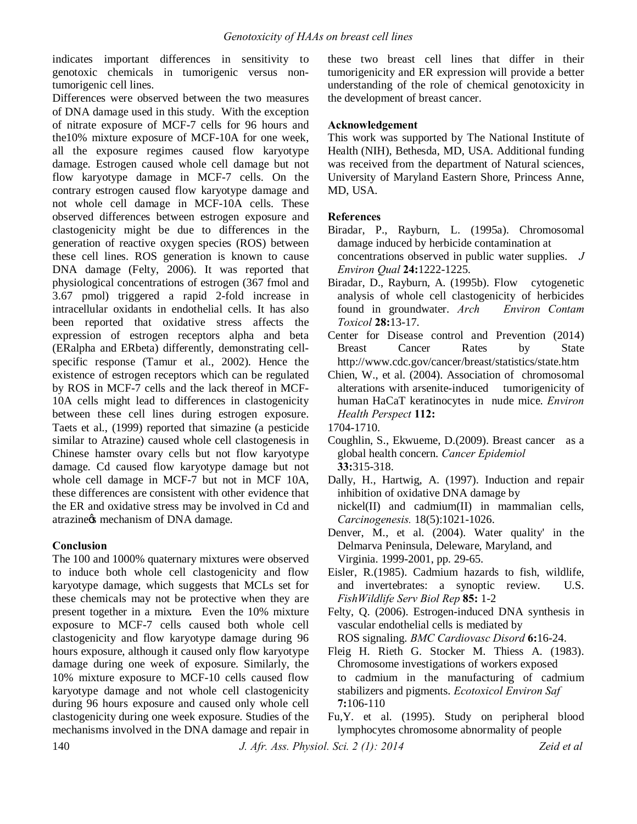indicates important differences in sensitivity to genotoxic chemicals in tumorigenic versus nontumorigenic cell lines.

Differences were observed between the two measures of DNA damage used in this study. With the exception of nitrate exposure of MCF-7 cells for 96 hours and the10% mixture exposure of MCF-10A for one week, all the exposure regimes caused flow karyotype damage. Estrogen caused whole cell damage but not flow karyotype damage in MCF-7 cells. On the contrary estrogen caused flow karyotype damage and not whole cell damage in MCF-10A cells. These observed differences between estrogen exposure and clastogenicity might be due to differences in the generation of reactive oxygen species (ROS) between these cell lines. ROS generation is known to cause DNA damage (Felty, 2006). It was reported that physiological concentrations of estrogen (367 fmol and 3.67 pmol) triggered a rapid 2-fold increase in intracellular oxidants in endothelial cells. It has also been reported that oxidative stress affects the expression of estrogen receptors alpha and beta (ERalpha and ERbeta) differently, demonstrating cellspecific response (Tamur et al., 2002). Hence the existence of estrogen receptors which can be regulated by ROS in MCF-7 cells and the lack thereof in MCF-10A cells might lead to differences in clastogenicity between these cell lines during estrogen exposure. Taets et al., (1999) reported that simazine (a pesticide similar to Atrazine) caused whole cell clastogenesis in Chinese hamster ovary cells but not flow karyotype damage. Cd caused flow karyotype damage but not whole cell damage in MCF-7 but not in MCF 10A, these differences are consistent with other evidence that the ER and oxidative stress may be involved in Cd and atrazine $\circ$ s mechanism of DNA damage.

## **Conclusion**

The 100 and 1000% quaternary mixtures were observed to induce both whole cell clastogenicity and flow karyotype damage, which suggests that MCLs set for these chemicals may not be protective when they are present together in a mixture*.* Even the 10% mixture exposure to MCF-7 cells caused both whole cell clastogenicity and flow karyotype damage during 96 hours exposure, although it caused only flow karyotype damage during one week of exposure. Similarly, the 10% mixture exposure to MCF-10 cells caused flow karyotype damage and not whole cell clastogenicity during 96 hours exposure and caused only whole cell clastogenicity during one week exposure. Studies of the mechanisms involved in the DNA damage and repair in these two breast cell lines that differ in their tumorigenicity and ER expression will provide a better understanding of the role of chemical genotoxicity in the development of breast cancer.

## **Acknowledgement**

This work was supported by The National Institute of Health (NIH), Bethesda, MD, USA. Additional funding was received from the department of Natural sciences, University of Maryland Eastern Shore, Princess Anne, MD, USA.

## **References**

- Biradar, P., Rayburn, L. (1995a). Chromosomal damage induced by herbicide contamination at concentrations observed in public water supplies. *J Environ Qual* **24:**1222-1225.
- Biradar, D., Rayburn, A. (1995b). Flow cytogenetic analysis of whole cell clastogenicity of herbicides found in groundwater. *Arch Environ Contam Toxicol* **28:**13-17.
- Center for Disease control and Prevention (2014) Breast Cancer Rates by State http://www.cdc.gov/cancer/breast/statistics/state.htm
- Chien, W., et al. (2004). Association of chromosomal alterations with arsenite-induced tumorigenicity of human HaCaT keratinocytes in nude mice. *Environ Health Perspect* **112:**

- Coughlin, S., Ekwueme, D.(2009). Breast cancer as a global health concern. *Cancer Epidemiol* **33:**315-318.
- Dally, H., Hartwig, A. (1997). Induction and repair inhibition of oxidative DNA damage by nickel(II) and cadmium(II) in mammalian cells, *Carcinogenesis.* 18(5):1021-1026.
- Denver, M., et al. (2004). Water quality' in the Delmarva Peninsula, Deleware, Maryland, and Virginia. 1999-2001, pp. 29-65.
- Eisler, R.(1985). Cadmium hazards to fish, wildlife, and invertebrates: a synoptic review. U.S. *FishWildlife Serv Biol Rep* **85:** 1-2
- Felty, Q. (2006). Estrogen-induced DNA synthesis in vascular endothelial cells is mediated by ROS signaling. *BMC Cardiovasc Disord* **6:**16-24.
- Fleig H. Rieth G. Stocker M. Thiess A. (1983). Chromosome investigations of workers exposed to cadmium in the manufacturing of cadmium stabilizers and pigments. *Ecotoxicol Environ Saf* **7:**106-110
- Fu,Y. et al. (1995). Study on peripheral blood lymphocytes chromosome abnormality of people

<sup>1704-1710.</sup>